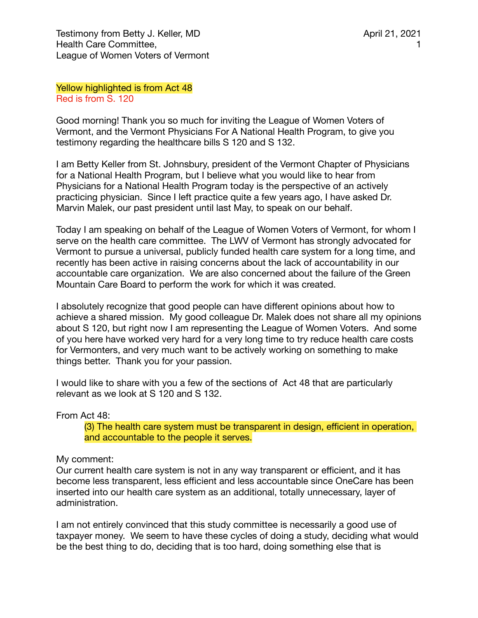Yellow highlighted is from Act 48 Red is from S. 120

Good morning! Thank you so much for inviting the League of Women Voters of Vermont, and the Vermont Physicians For A National Health Program, to give you testimony regarding the healthcare bills S 120 and S 132.

I am Betty Keller from St. Johnsbury, president of the Vermont Chapter of Physicians for a National Health Program, but I believe what you would like to hear from Physicians for a National Health Program today is the perspective of an actively practicing physician. Since I left practice quite a few years ago, I have asked Dr. Marvin Malek, our past president until last May, to speak on our behalf.

Today I am speaking on behalf of the League of Women Voters of Vermont, for whom I serve on the health care committee. The LWV of Vermont has strongly advocated for Vermont to pursue a universal, publicly funded health care system for a long time, and recently has been active in raising concerns about the lack of accountability in our accountable care organization. We are also concerned about the failure of the Green Mountain Care Board to perform the work for which it was created.

I absolutely recognize that good people can have different opinions about how to achieve a shared mission. My good colleague Dr. Malek does not share all my opinions about S 120, but right now I am representing the League of Women Voters. And some of you here have worked very hard for a very long time to try reduce health care costs for Vermonters, and very much want to be actively working on something to make things better. Thank you for your passion.

I would like to share with you a few of the sections of Act 48 that are particularly relevant as we look at S 120 and S 132.

From Act 48:

(3) The health care system must be transparent in design, efficient in operation, and accountable to the people it serves.

My comment:

Our current health care system is not in any way transparent or efficient, and it has become less transparent, less efficient and less accountable since OneCare has been inserted into our health care system as an additional, totally unnecessary, layer of administration.

I am not entirely convinced that this study committee is necessarily a good use of taxpayer money. We seem to have these cycles of doing a study, deciding what would be the best thing to do, deciding that is too hard, doing something else that is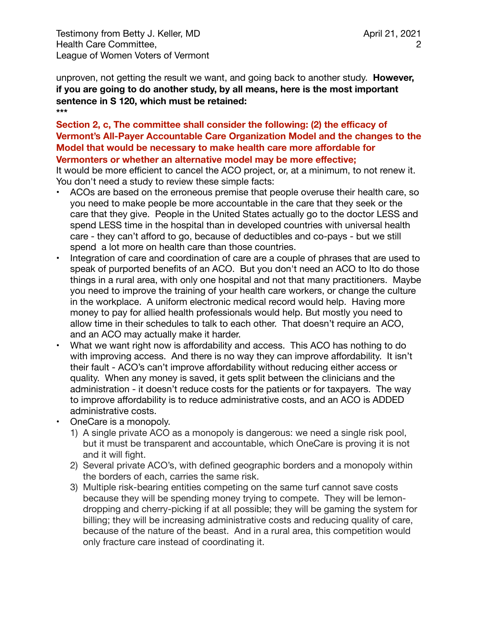Testimony from Betty J. Keller, MD Health Care Committee, League of Women Voters of Vermont

unproven, not getting the result we want, and going back to another study. **However, if you are going to do another study, by all means, here is the most important sentence in S 120, which must be retained: \*\*\*** 

# **Section 2, c, The committee shall consider the following: (2) the efficacy of Vermont's All-Payer Accountable Care Organization Model and the changes to the Model that would be necessary to make health care more affordable for Vermonters or whether an alternative model may be more effective;**

It would be more efficient to cancel the ACO project, or, at a minimum, to not renew it. You don't need a study to review these simple facts:

- ACOs are based on the erroneous premise that people overuse their health care, so you need to make people be more accountable in the care that they seek or the care that they give. People in the United States actually go to the doctor LESS and spend LESS time in the hospital than in developed countries with universal health care - they can't afford to go, because of deductibles and co-pays - but we still spend a lot more on health care than those countries.
- Integration of care and coordination of care are a couple of phrases that are used to speak of purported benefits of an ACO. But you don't need an ACO to Ito do those things in a rural area, with only one hospital and not that many practitioners. Maybe you need to improve the training of your health care workers, or change the culture in the workplace. A uniform electronic medical record would help. Having more money to pay for allied health professionals would help. But mostly you need to allow time in their schedules to talk to each other. That doesn't require an ACO, and an ACO may actually make it harder.
- What we want right now is affordability and access. This ACO has nothing to do with improving access. And there is no way they can improve affordability. It isn't their fault - ACO's can't improve affordability without reducing either access or quality. When any money is saved, it gets split between the clinicians and the administration - it doesn't reduce costs for the patients or for taxpayers. The way to improve affordability is to reduce administrative costs, and an ACO is ADDED administrative costs.
- OneCare is a monopoly.
	- 1) A single private ACO as a monopoly is dangerous: we need a single risk pool, but it must be transparent and accountable, which OneCare is proving it is not and it will fight.
	- 2) Several private ACO's, with defined geographic borders and a monopoly within the borders of each, carries the same risk.
	- 3) Multiple risk-bearing entities competing on the same turf cannot save costs because they will be spending money trying to compete. They will be lemondropping and cherry-picking if at all possible; they will be gaming the system for billing; they will be increasing administrative costs and reducing quality of care, because of the nature of the beast. And in a rural area, this competition would only fracture care instead of coordinating it.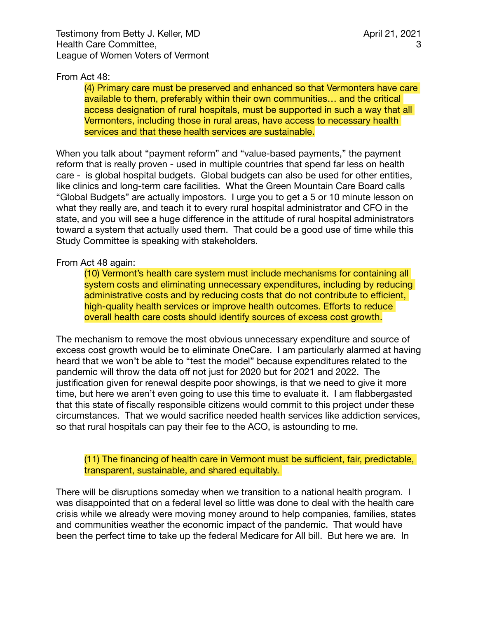# From Act 48:

(4) Primary care must be preserved and enhanced so that Vermonters have care available to them, preferably within their own communities… and the critical access designation of rural hospitals, must be supported in such a way that all Vermonters, including those in rural areas, have access to necessary health services and that these health services are sustainable.

When you talk about "payment reform" and "value-based payments," the payment reform that is really proven - used in multiple countries that spend far less on health care - is global hospital budgets. Global budgets can also be used for other entities, like clinics and long-term care facilities. What the Green Mountain Care Board calls "Global Budgets" are actually impostors. I urge you to get a 5 or 10 minute lesson on what they really are, and teach it to every rural hospital administrator and CFO in the state, and you will see a huge difference in the attitude of rural hospital administrators toward a system that actually used them. That could be a good use of time while this Study Committee is speaking with stakeholders.

#### From Act 48 again:

(10) Vermont's health care system must include mechanisms for containing all system costs and eliminating unnecessary expenditures, including by reducing administrative costs and by reducing costs that do not contribute to efficient, high-quality health services or improve health outcomes. Efforts to reduce overall health care costs should identify sources of excess cost growth.

The mechanism to remove the most obvious unnecessary expenditure and source of excess cost growth would be to eliminate OneCare. I am particularly alarmed at having heard that we won't be able to "test the model" because expenditures related to the pandemic will throw the data off not just for 2020 but for 2021 and 2022. The justification given for renewal despite poor showings, is that we need to give it more time, but here we aren't even going to use this time to evaluate it. I am flabbergasted that this state of fiscally responsible citizens would commit to this project under these circumstances. That we would sacrifice needed health services like addiction services, so that rural hospitals can pay their fee to the ACO, is astounding to me.

#### (11) The financing of health care in Vermont must be sufficient, fair, predictable, transparent, sustainable, and shared equitably.

There will be disruptions someday when we transition to a national health program. I was disappointed that on a federal level so little was done to deal with the health care crisis while we already were moving money around to help companies, families, states and communities weather the economic impact of the pandemic. That would have been the perfect time to take up the federal Medicare for All bill. But here we are. In